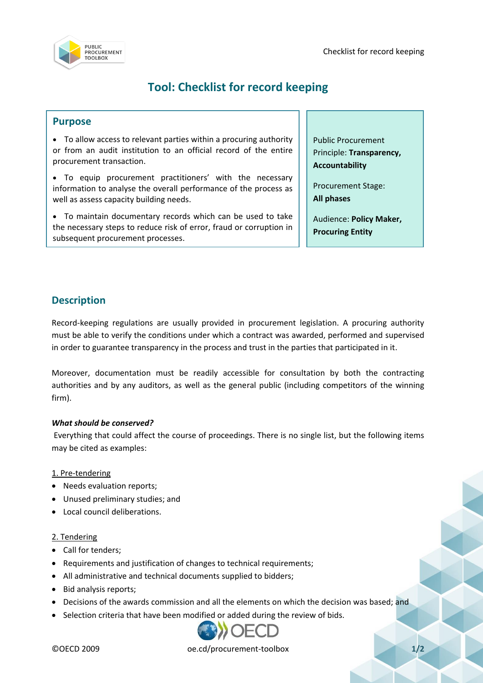

# **Tool: Checklist for record keeping**

## **Purpose**

 To allow access to relevant parties within a procuring authority or from an audit institution to an official record of the entire procurement transaction.

• To equip procurement practitioners' with the necessary<br>information to analyse the overall performance of the process as information to analyse the overall performance of the process as well as assess capacity building needs.

 To maintain documentary records which can be used to take the necessary steps to reduce risk of error, fraud or corruption in subsequent procurement processes.

Public Procurement Principle: **Transparency, Accountability**

Procurement Stage: **All phases**

Audience: **Policy Maker, Procuring Entity**

# **Description**

Record-keeping regulations are usually provided in procurement legislation. A procuring authority must be able to verify the conditions under which a contract was awarded, performed and supervised in order to guarantee transparency in the process and trust in the parties that participated in it.

Moreover, documentation must be readily accessible for consultation by both the contracting authorities and by any auditors, as well as the general public (including competitors of the winning firm).

### *What should be conserved?*

Everything that could affect the course of proceedings. There is no single list, but the following items may be cited as examples:

### 1. Pre-tendering

- Needs evaluation reports;
- Unused preliminary studies; and
- Local council deliberations.

### 2. Tendering

- Call for tenders;
- Requirements and justification of changes to technical requirements;
- All administrative and technical documents supplied to bidders;
- Bid analysis reports;
- Decisions of the awards commission and all the elements on which the decision was based; and
- Selection criteria that have been modified or added during the review of bids.



©OECD 2009 oe.cd/procurement-toolbox **1/2**